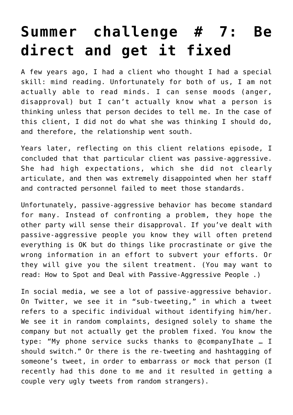## **[Summer challenge # 7: Be](https://deborahbrody.com/2014/08/summer-challenge-7-be-direct-and-get-it-fixed/) [direct and get it fixed](https://deborahbrody.com/2014/08/summer-challenge-7-be-direct-and-get-it-fixed/)**

A few years ago, I had a client who thought I had a special skill: mind reading. Unfortunately for both of us, I am not actually able to read minds. I can sense moods (anger, disapproval) but I can't actually know what a person is thinking unless that person decides to tell me. In the case of this client, I did not do what she was thinking I should do, and therefore, the relationship went south.

Years later, reflecting on this client relations episode, I concluded that that particular client was passive-aggressive. She had high expectations, which she did not clearly articulate, and then was extremely disappointed when her staff and contracted personnel failed to meet those standards.

Unfortunately, passive-aggressive behavior has become standard for many. Instead of confronting a problem, they hope the other party will sense their disapproval. If you've dealt with passive-aggressive people you know they will often pretend everything is OK but do things like procrastinate or give the wrong information in an effort to subvert your efforts. Or they will give you the silent treatment. (You may want to read: [How to Spot and Deal with Passive-Aggressive People](http://www.psychologytoday.com/blog/communication-success/201401/how-spot-and-deal-passive-aggressive-people) .)

In social media, we see a lot of passive-aggressive behavior. On Twitter, we see it in "sub-tweeting," in which a tweet refers to a specific individual without identifying him/her. We see it in random complaints, designed solely to shame the company but not actually get the problem fixed. You know the type: "My phone service sucks thanks to @companyIhate … I should switch." Or there is the re-tweeting and hashtagging of someone's tweet, in order to embarrass or mock that person (I recently had this done to me and it resulted in getting a couple very ugly tweets from random strangers).